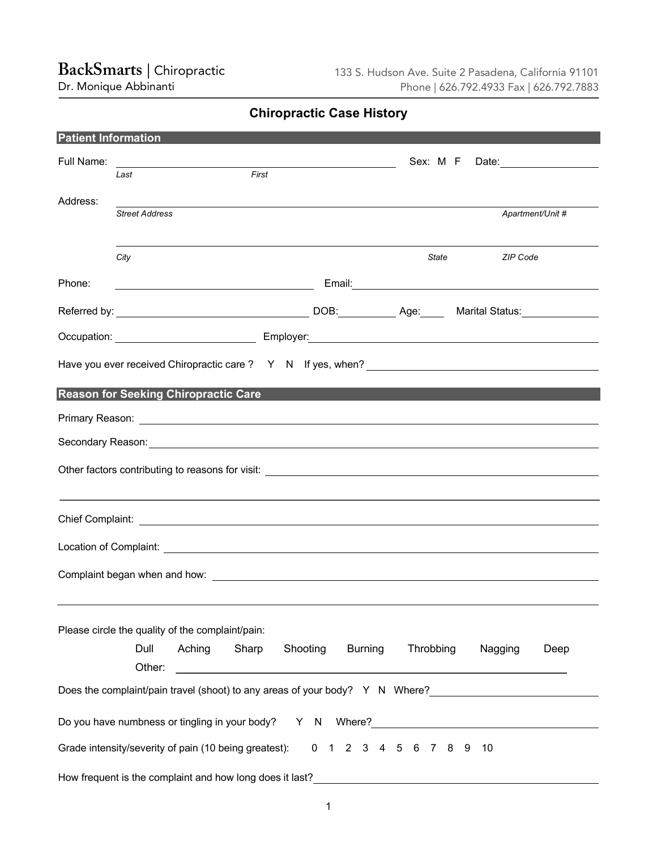## **BackSmarts|** Chiropractic

Dr. Monique Abbinanti

**Chiropractic Case History**

| <b>Patient Information</b> |                                                                                                                      |        |       |          |  |                        |           |          |  |         |                    |      |
|----------------------------|----------------------------------------------------------------------------------------------------------------------|--------|-------|----------|--|------------------------|-----------|----------|--|---------|--------------------|------|
| Full Name:                 | <u> 1989 - Johann Barbara, martin amerikan basal da</u>                                                              |        |       |          |  |                        |           | Sex: M F |  |         | Date: <u>Date:</u> |      |
|                            | Last                                                                                                                 |        | First |          |  |                        |           |          |  |         |                    |      |
| Address:                   | <b>Street Address</b>                                                                                                |        |       |          |  |                        |           |          |  |         | Apartment/Unit #   |      |
|                            | City                                                                                                                 |        |       |          |  |                        |           | State    |  |         | <b>ZIP Code</b>    |      |
| Phone:                     | <u> 1980 - Johann Barbara, martin amerikan basar dan basar dalam basar dalam basar dalam basar dalam basar dalam</u> |        |       |          |  |                        |           |          |  |         |                    |      |
|                            |                                                                                                                      |        |       |          |  |                        |           |          |  |         |                    |      |
|                            |                                                                                                                      |        |       |          |  |                        |           |          |  |         |                    |      |
|                            |                                                                                                                      |        |       |          |  |                        |           |          |  |         |                    |      |
|                            | <b>Reason for Seeking Chiropractic Care</b>                                                                          |        |       |          |  |                        |           |          |  |         |                    |      |
|                            |                                                                                                                      |        |       |          |  |                        |           |          |  |         |                    |      |
|                            |                                                                                                                      |        |       |          |  |                        |           |          |  |         |                    |      |
|                            |                                                                                                                      |        |       |          |  |                        |           |          |  |         |                    |      |
|                            |                                                                                                                      |        |       |          |  |                        |           |          |  |         |                    |      |
|                            |                                                                                                                      |        |       |          |  |                        |           |          |  |         |                    |      |
|                            |                                                                                                                      |        |       |          |  |                        |           |          |  |         |                    |      |
|                            | Please circle the quality of the complaint/pain:<br>Dull<br>Other:                                                   | Aching | Sharp | Shooting |  | <b>Burning</b>         | Throbbing |          |  | Nagging |                    | Deep |
|                            |                                                                                                                      |        |       |          |  |                        |           |          |  |         |                    |      |
|                            | Do you have numbness or tingling in your body? Y N Where?<br>Y N Where?                                              |        |       |          |  |                        |           |          |  |         |                    |      |
|                            |                                                                                                                      |        |       |          |  |                        |           |          |  |         |                    |      |
|                            | Grade intensity/severity of pain (10 being greatest):                                                                |        |       |          |  | 0 1 2 3 4 5 6 7 8 9 10 |           |          |  |         |                    |      |
|                            | How frequent is the complaint and how long does it last?                                                             |        |       |          |  |                        |           |          |  |         |                    |      |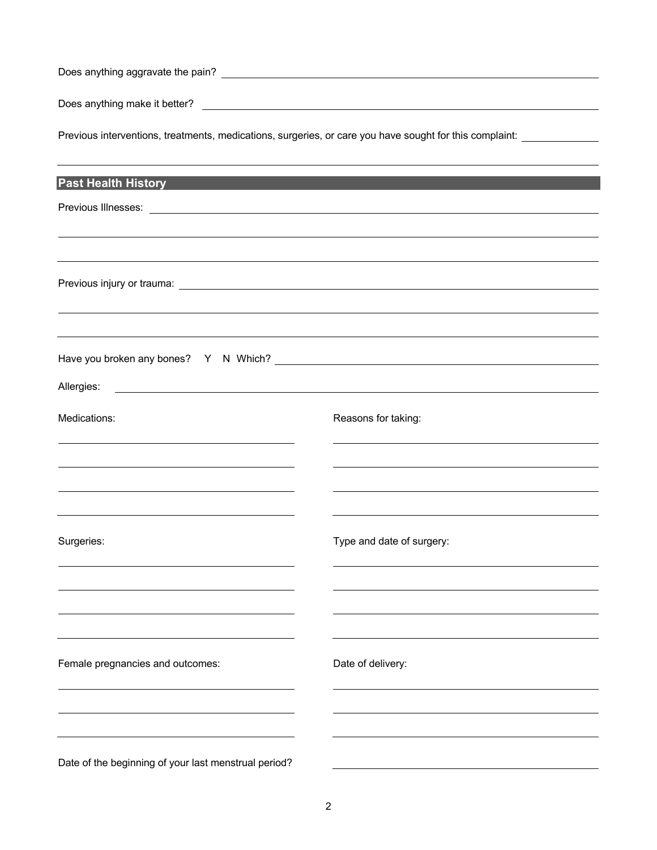Does anything aggravate the pain?

Does anything make it better?

Previous interventions, treatments, medications, surgeries, or care you have sought for this complaint:

| <b>Past Health History</b>                                                                                                                                                                                                    |                           |
|-------------------------------------------------------------------------------------------------------------------------------------------------------------------------------------------------------------------------------|---------------------------|
|                                                                                                                                                                                                                               |                           |
|                                                                                                                                                                                                                               |                           |
|                                                                                                                                                                                                                               |                           |
|                                                                                                                                                                                                                               |                           |
|                                                                                                                                                                                                                               |                           |
|                                                                                                                                                                                                                               |                           |
|                                                                                                                                                                                                                               |                           |
|                                                                                                                                                                                                                               |                           |
| Allergies:<br><u> Alexandria de la contrada de la contrada de la contrada de la contrada de la contrada de la contrada de la c</u>                                                                                            |                           |
| Medications:                                                                                                                                                                                                                  | Reasons for taking:       |
|                                                                                                                                                                                                                               |                           |
| <u> 1989 - Johann John Stone, markin fizik eta idazlearia (h. 1989).</u>                                                                                                                                                      |                           |
| the control of the control of the control of the control of the control of the control of the control of the control of the control of the control of the control of the control of the control of the control of the control |                           |
|                                                                                                                                                                                                                               |                           |
| Surgeries:                                                                                                                                                                                                                    | Type and date of surgery: |
|                                                                                                                                                                                                                               |                           |
|                                                                                                                                                                                                                               |                           |
|                                                                                                                                                                                                                               |                           |
|                                                                                                                                                                                                                               |                           |
| Female pregnancies and outcomes:                                                                                                                                                                                              | Date of delivery:         |
|                                                                                                                                                                                                                               |                           |
|                                                                                                                                                                                                                               |                           |
|                                                                                                                                                                                                                               |                           |
|                                                                                                                                                                                                                               |                           |
| Date of the beginning of your last menstrual period?                                                                                                                                                                          |                           |